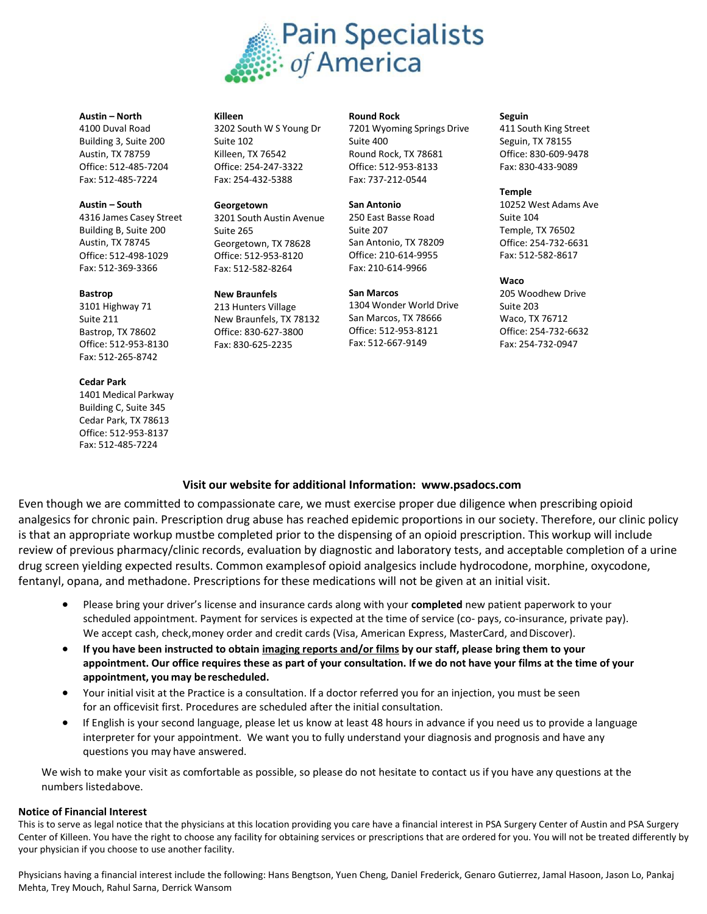

#### **Austin – North**

4100 Duval Road Building 3, Suite 200 Austin, TX 78759 Office: 512-485-7204 Fax: 512-485-7224

#### **Austin – South**

4316 James Casey Street Building B, Suite 200 Austin, TX 78745 Office: 512-498-1029 Fax: 512-369-3366

#### **Bastrop**

3101 Highway 71 Suite 211 Bastrop, TX 78602 Office: 512-953-8130 Fax: 512-265-8742

#### **Cedar Park**

1401 Medical Parkway Building C, Suite 345 Cedar Park, TX 78613 Office: 512-953-8137 Fax: 512-485-7224

#### **Killeen**

3202 South W S Young Dr Suite 102 Killeen, TX 76542 Office: 254-247-3322 Fax: 254-432-5388

#### **Georgetown**

3201 South Austin Avenue Suite 265 Georgetown, TX 78628 Office: 512-953-8120 Fax: 512-582-8264

#### **New Braunfels**

213 Hunters Village New Braunfels, TX 78132 Office: 830-627-3800 Fax: 830-625-2235

#### **Round Rock**

7201 Wyoming Springs Drive Suite 400 Round Rock, TX 78681 Office: 512-953-8133 Fax: 737-212-0544

#### **San Antonio**

250 East Basse Road Suite 207 San Antonio, TX 78209 Office: 210-614-9955 Fax: 210-614-9966

#### **San Marcos**

1304 Wonder World Drive San Marcos, TX 78666 Office: 512-953-8121 Fax: 512-667-9149

#### **Seguin**

411 South King Street Seguin, TX 78155 Office: 830-609-9478 Fax: 830-433-9089

#### **Temple**

10252 West Adams Ave Suite 104 Temple, TX 76502 Office: 254-732-6631 Fax: 512-582-8617

#### **Waco**

205 Woodhew Drive Suite 203 Waco, TX 76712 Office: 254-732-6632 Fax: 254-732-0947

## **Visit our website for additional Information: www.psadocs.com**

Even though we are committed to compassionate care, we must exercise proper due diligence when prescribing opioid analgesics for chronic pain. Prescription drug abuse has reached epidemic proportions in our society. Therefore, our clinic policy is that an appropriate workup mustbe completed prior to the dispensing of an opioid prescription. This workup will include review of previous pharmacy/clinic records, evaluation by diagnostic and laboratory tests, and acceptable completion of a urine drug screen yielding expected results. Common examplesof opioid analgesics include hydrocodone, morphine, oxycodone, fentanyl, opana, and methadone. Prescriptions for these medications will not be given at an initial visit.

- Please bring your driver's license and insurance cards along with your **completed** new patient paperwork to your scheduled appointment. Payment for services is expected at the time of service (co- pays, co-insurance, private pay). We accept cash, check,money order and credit cards (Visa, American Express, MasterCard, and Discover).
- If you have been instructed to obtain imaging reports and/or films by our staff, please bring them to your appointment. Our office requires these as part of your consultation. If we do not have your films at the time of your **appointment, you may be rescheduled.**
- Your initial visit at the Practice is a consultation. If a doctor referred you for an injection, you must be seen for an officevisit first. Procedures are scheduled after the initial consultation.
- If English is your second language, please let us know at least 48 hours in advance if you need us to provide a language interpreter for your appointment. We want you to fully understand your diagnosis and prognosis and have any questions you may have answered.

We wish to make your visit as comfortable as possible, so please do not hesitate to contact us if you have any questions at the numbers listedabove.

## **Notice of Financial Interest**

This is to serve as legal notice that the physicians at this location providing you care have a financial interest in PSA Surgery Center of Austin and PSA Surgery Center of Killeen. You have the right to choose any facility for obtaining services or prescriptions that are ordered for you. You will not be treated differently by your physician if you choose to use another facility.

Physicians having a financial interest include the following: Hans Bengtson, Yuen Cheng, Daniel Frederick, Genaro Gutierrez, Jamal Hasoon, Jason Lo, Pankaj Mehta, Trey Mouch, Rahul Sarna, Derrick Wansom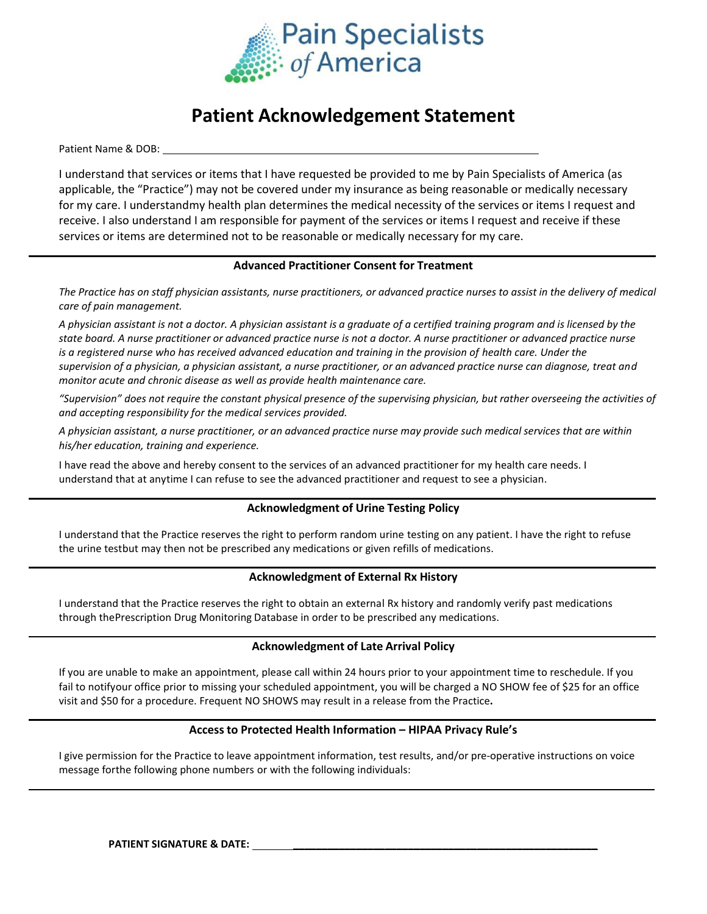

# **Patient Acknowledgement Statement**

Patient Name & DOB:

I understand that services or items that I have requested be provided to me by Pain Specialists of America (as applicable, the "Practice") may not be covered under my insurance as being reasonable or medically necessary for my care. I understandmy health plan determines the medical necessity of the services or items I request and receive. I also understand I am responsible for payment of the services or items I request and receive if these services or items are determined not to be reasonable or medically necessary for my care.

## **Advanced Practitioner Consent for Treatment**

The Practice has on staff physician assistants, nurse practitioners, or advanced practice nurses to assist in the delivery of medical *care of pain management.*

A physician assistant is not a doctor. A physician assistant is a graduate of a certified training program and is licensed by the *state board. A nurse practitioner or advanced practice nurse is not a doctor. A nurse practitioner or advanced practice nurse is a registered nurse who has received advanced education and training in the provision of health care. Under the supervision of a physician, a physician assistant, a nurse practitioner, or an advanced practice nurse can diagnose, treat and monitor acute and chronic disease as well as provide health maintenance care.*

"Supervision" does not require the constant physical presence of the supervising physician, but rather overseeing the activities of *and accepting responsibility for the medical services provided.*

A physician assistant, a nurse practitioner, or an advanced practice nurse may provide such medical services that are within *his/her education, training and experience.*

I have read the above and hereby consent to the services of an advanced practitioner for my health care needs. I understand that at anytime I can refuse to see the advanced practitioner and request to see a physician.

## **Acknowledgment of Urine Testing Policy**

I understand that the Practice reserves the right to perform random urine testing on any patient. I have the right to refuse the urine testbut may then not be prescribed any medications or given refills of medications.

## **Acknowledgment of External Rx History**

I understand that the Practice reserves the right to obtain an external Rx history and randomly verify past medications through thePrescription Drug Monitoring Database in order to be prescribed any medications.

### **Acknowledgment of Late Arrival Policy**

If you are unable to make an appointment, please call within 24 hours prior to your appointment time to reschedule. If you fail to notifyour office prior to missing your scheduled appointment, you will be charged a NO SHOW fee of \$25 for an office visit and \$50 for a procedure. Frequent NO SHOWS may result in a release from the Practice**.**

### **Access to Protected Health Information – HIPAA Privacy Rule's**

I give permission for the Practice to leave appointment information, test results, and/or pre-operative instructions on voice message forthe following phone numbers or with the following individuals: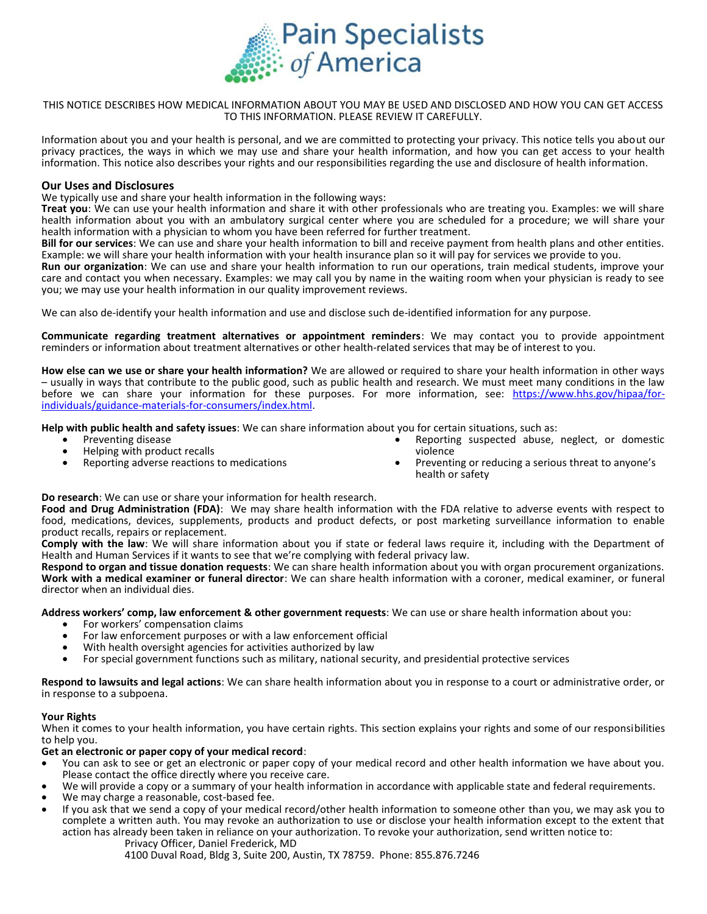

#### THIS NOTICE DESCRIBES HOW MEDICAL INFORMATION ABOUT YOU MAY BE USED AND DISCLOSED AND HOW YOU CAN GET ACCESS TO THIS INFORMATION. PLEASE REVIEW IT CAREFULLY.

Information about you and your health is personal, and we are committed to protecting your privacy. This notice tells you about our privacy practices, the ways in which we may use and share your health information, and how you can get access to your health information. This notice also describes your rights and our responsibilities regarding the use and disclosure of health information.

#### **Our Uses and Disclosures**

We typically use and share your health information in the following ways:

**Treat you**: We can use your health information and share it with other professionals who are treating you. Examples: we will share health information about you with an ambulatory surgical center where you are scheduled for a procedure; we will share your health information with a physician to whom you have been referred for further treatment.

**Bill for our services**: We can use and share your health information to bill and receive payment from health plans and other entities. Example: we will share your health information with your health insurance plan so it will pay for services we provide to you.

**Run our organization**: We can use and share your health information to run our operations, train medical students, improve your care and contact you when necessary. Examples: we may call you by name in the waiting room when your physician is ready to see you; we may use your health information in our quality improvement reviews.

We can also de-identify your health information and use and disclose such de-identified information for any purpose.

**Communicate regarding treatment alternatives or appointment reminders**: We may contact you to provide appointment reminders or information about treatment alternatives or other health-related services that may be of interest to you.

**How else can we use or share your health information?** We are allowed or required to share your health information in other ways – usually in ways that contribute to the public good, such as public health and research. We must meet many conditions in the law before we can share your information for these purposes. For more information, see: [https://www.hhs.gov/hipaa/for](https://www.hhs.gov/hipaa/for-individuals/guidance-materials-for-consumers/index.html)[individuals/guidance-materials-for-consumers/index.html.](https://www.hhs.gov/hipaa/for-individuals/guidance-materials-for-consumers/index.html)

**Help with public health and safety issues**: We can share information about you for certain situations, such as:

- Preventing disease
- Helping with product recalls
- Reporting adverse reactions to medications
- Reporting suspected abuse, neglect, or domestic violence
- Preventing or reducing a serious threat to anyone's health or safety

**Do research**: We can use or share your information for health research.

**Food and Drug Administration (FDA)**: We may share health information with the FDA relative to adverse events with respect to food, medications, devices, supplements, products and product defects, or post marketing surveillance information to enable product recalls, repairs or replacement.

**Comply with the law**: We will share information about you if state or federal laws require it, including with the Department of Health and Human Services if it wants to see that we're complying with federal privacy law.

**Respond to organ and tissue donation requests**: We can share health information about you with organ procurement organizations. **Work with a medical examiner or funeral director**: We can share health information with a coroner, medical examiner, or funeral director when an individual dies.

**Address workers' comp, law enforcement & other government requests**: We can use or share health information about you:

- For workers' compensation claims
- For law enforcement purposes or with a law enforcement official
- With health oversight agencies for activities authorized by law
- For special government functions such as military, national security, and presidential protective services

**Respond to lawsuits and legal actions**: We can share health information about you in response to a court or administrative order, or in response to a subpoena.

#### **Your Rights**

When it comes to your health information, you have certain rights. This section explains your rights and some of our responsibilities to help you.

#### **Get an electronic or paper copy of your medical record**:

- You can ask to see or get an electronic or paper copy of your medical record and other health information we have about you. Please contact the office directly where you receive care.
- We will provide a copy or a summary of your health information in accordance with applicable state and federal requirements.
- We may charge a reasonable, cost-based fee.
- If you ask that we send a copy of your medical record/other health information to someone other than you, we may ask you to complete a written auth. You may revoke an authorization to use or disclose your health information except to the extent that action has already been taken in reliance on your authorization. To revoke your authorization, send written notice to: Privacy Officer, Daniel Frederick, MD

4100 Duval Road, Bldg 3, Suite 200, Austin, TX 78759. Phone: 855.876.7246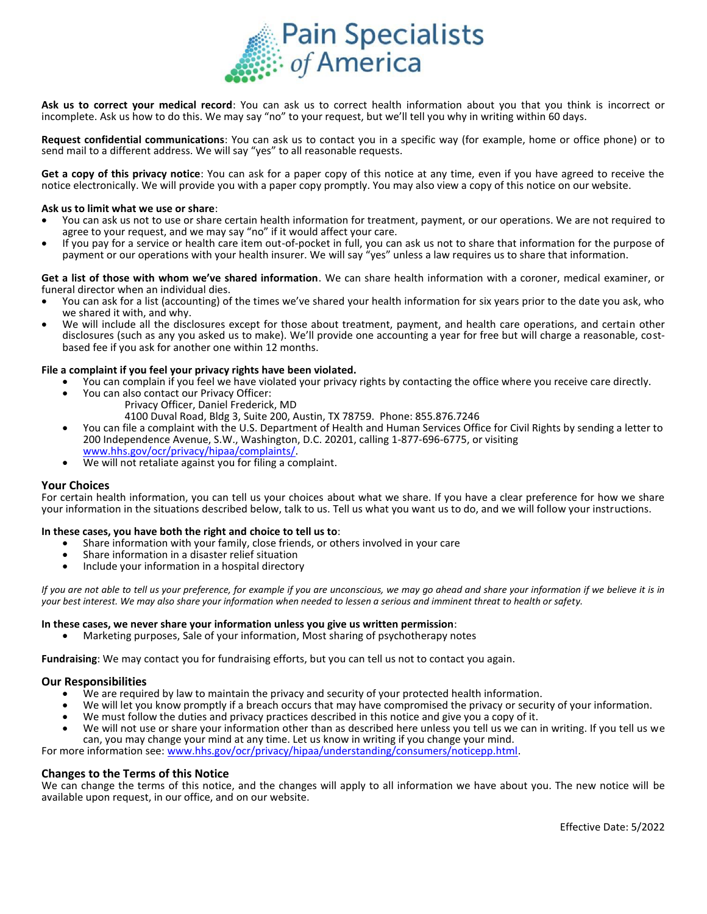

**Ask us to correct your medical record**: You can ask us to correct health information about you that you think is incorrect or incomplete. Ask us how to do this. We may say "no" to your request, but we'll tell you why in writing within 60 days.

**Request confidential communications**: You can ask us to contact you in a specific way (for example, home or office phone) or to send mail to a different address. We will say "yes" to all reasonable requests.

**Get a copy of this privacy notice**: You can ask for a paper copy of this notice at any time, even if you have agreed to receive the notice electronically. We will provide you with a paper copy promptly. You may also view a copy of this notice on our website.

#### **Ask us to limit what we use or share**:

- You can ask us not to use or share certain health information for treatment, payment, or our operations. We are not required to agree to your request, and we may say "no" if it would affect your care.
- If you pay for a service or health care item out-of-pocket in full, you can ask us not to share that information for the purpose of payment or our operations with your health insurer. We will say "yes" unless a law requires us to share that information.

**Get a list of those with whom we've shared information**. We can share health information with a coroner, medical examiner, or funeral director when an individual dies.

- You can ask for a list (accounting) of the times we've shared your health information for six years prior to the date you ask, who we shared it with, and why.
- We will include all the disclosures except for those about treatment, payment, and health care operations, and certain other disclosures (such as any you asked us to make). We'll provide one accounting a year for free but will charge a reasonable, costbased fee if you ask for another one within 12 months.

#### **File a complaint if you feel your privacy rights have been violated.**

- You can complain if you feel we have violated your privacy rights by contacting the office where you receive care directly.
- You can also contact our Privacy Officer:
	- Privacy Officer, Daniel Frederick, MD 4100 Duval Road, Bldg 3, Suite 200, Austin, TX 78759. Phone: 855.876.7246
- You can file a complaint with the U.S. Department of Health and Human Services Office for Civil Rights by sending a letter to 200 Independence Avenue, S.W., Washington, D.C. 20201, calling 1-877-696-6775, or visiting [www.hhs.gov/ocr/privacy/hipaa/complaints/.](http://www.hhs.gov/ocr/privacy/hipaa/complaints/)
- We will not retaliate against you for filing a complaint.

#### **Your Choices**

For certain health information, you can tell us your choices about what we share. If you have a clear preference for how we share your information in the situations described below, talk to us. Tell us what you want us to do, and we will follow your instructions.

#### **In these cases, you have both the right and choice to tell us to**:

- Share information with your family, close friends, or others involved in your care
- Share information in a disaster relief situation
- Include your information in a hospital directory

*If you are not able to tell us your preference, for example if you are unconscious, we may go ahead and share your information if we believe it is in your best interest. We may also share your information when needed to lessen a serious and imminent threat to health or safety.*

#### **In these cases, we never share your information unless you give us written permission**:

• Marketing purposes, Sale of your information, Most sharing of psychotherapy notes

**Fundraising**: We may contact you for fundraising efforts, but you can tell us not to contact you again.

#### **Our Responsibilities**

- We are required by law to maintain the privacy and security of your protected health information.
- We will let you know promptly if a breach occurs that may have compromised the privacy or security of your information.
- We must follow the duties and privacy practices described in this notice and give you a copy of it.
- We will not use or share your information other than as described here unless you tell us we can in writing. If you tell us we can, you may change your mind at any time. Let us know in writing if you change your mind.

For more information see: [www.hhs.gov/ocr/privacy/hipaa/understanding/consumers/noticepp.html.](http://www.hhs.gov/ocr/privacy/hipaa/understanding/consumers/noticepp.html)

#### **Changes to the Terms of this Notice**

We can change the terms of this notice, and the changes will apply to all information we have about you. The new notice will be available upon request, in our office, and on our website.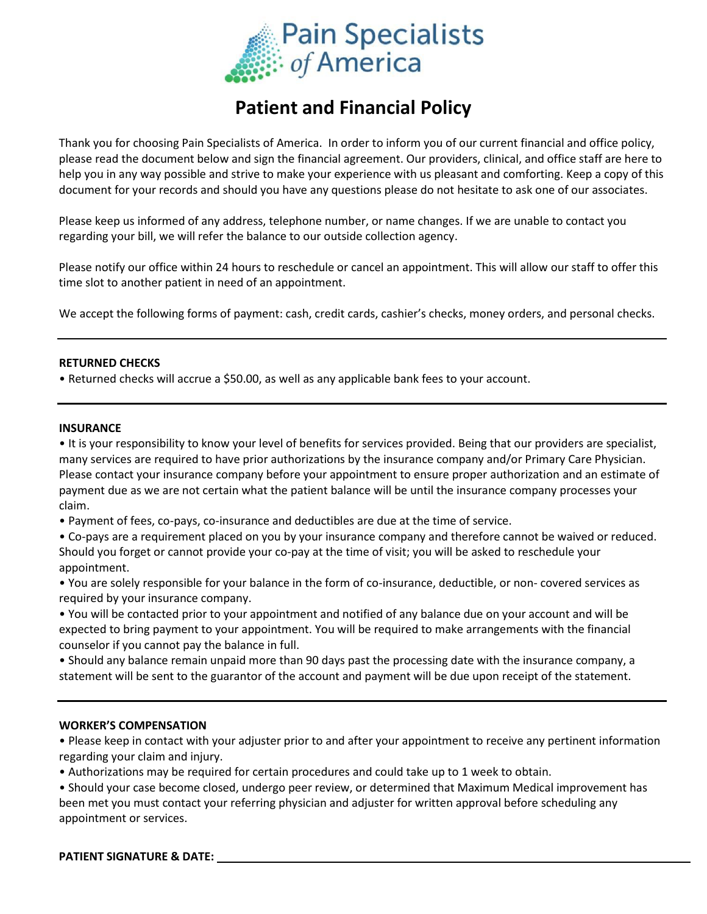

# **Patient and Financial Policy**

Thank you for choosing Pain Specialists of America. In order to inform you of our current financial and office policy, please read the document below and sign the financial agreement. Our providers, clinical, and office staff are here to help you in any way possible and strive to make your experience with us pleasant and comforting. Keep a copy of this document for your records and should you have any questions please do not hesitate to ask one of our associates.

Please keep us informed of any address, telephone number, or name changes. If we are unable to contact you regarding your bill, we will refer the balance to our outside collection agency.

Please notify our office within 24 hours to reschedule or cancel an appointment. This will allow our staff to offer this time slot to another patient in need of an appointment.

We accept the following forms of payment: cash, credit cards, cashier's checks, money orders, and personal checks.

## **RETURNED CHECKS**

• Returned checks will accrue a \$50.00, as well as any applicable bank fees to your account.

## **INSURANCE**

• It is your responsibility to know your level of benefits for services provided. Being that our providers are specialist, many services are required to have prior authorizations by the insurance company and/or Primary Care Physician. Please contact your insurance company before your appointment to ensure proper authorization and an estimate of payment due as we are not certain what the patient balance will be until the insurance company processes your claim.

• Payment of fees, co-pays, co-insurance and deductibles are due at the time of service.

• Co-pays are a requirement placed on you by your insurance company and therefore cannot be waived or reduced. Should you forget or cannot provide your co-pay at the time of visit; you will be asked to reschedule your appointment.

• You are solely responsible for your balance in the form of co-insurance, deductible, or non- covered services as required by your insurance company.

• You will be contacted prior to your appointment and notified of any balance due on your account and will be expected to bring payment to your appointment. You will be required to make arrangements with the financial counselor if you cannot pay the balance in full.

• Should any balance remain unpaid more than 90 days past the processing date with the insurance company, a statement will be sent to the guarantor of the account and payment will be due upon receipt of the statement.

## **WORKER'S COMPENSATION**

• Please keep in contact with your adjuster prior to and after your appointment to receive any pertinent information regarding your claim and injury.

• Authorizations may be required for certain procedures and could take up to 1 week to obtain.

• Should your case become closed, undergo peer review, or determined that Maximum Medical improvement has been met you must contact your referring physician and adjuster for written approval before scheduling any appointment or services.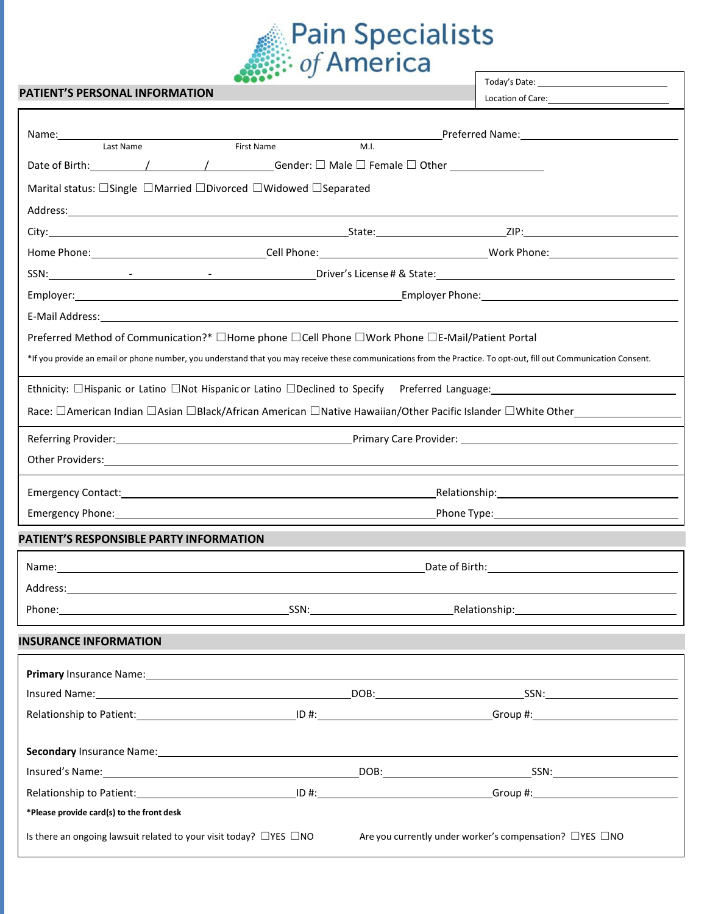

## **PATIENT'S PERSONAL INFORMATION**

Location of Care:

|                                                                                                                                                                                                                                     |      | Preferred Name: Name: Name and Allen Management of the Management of the Management of the Management of the M |  |  |  |
|-------------------------------------------------------------------------------------------------------------------------------------------------------------------------------------------------------------------------------------|------|----------------------------------------------------------------------------------------------------------------|--|--|--|
| <b>First Name</b><br>Last Name                                                                                                                                                                                                      | M.I. |                                                                                                                |  |  |  |
| Date of Birth: $\qquad \qquad / \qquad \qquad / \qquad \qquad$ Gender: $\Box$ Male $\Box$ Female $\Box$ Other $\qquad \qquad$                                                                                                       |      |                                                                                                                |  |  |  |
| Marital status: $\Box$ Single $\Box$ Married $\Box$ Divorced $\Box$ Widowed $\Box$ Separated                                                                                                                                        |      |                                                                                                                |  |  |  |
| Address: <u>Communication of the communication</u> of the communication of the communication of the communication of the communication of the communication of the communication of the communication of the communication of the c |      |                                                                                                                |  |  |  |
|                                                                                                                                                                                                                                     |      |                                                                                                                |  |  |  |
|                                                                                                                                                                                                                                     |      |                                                                                                                |  |  |  |
|                                                                                                                                                                                                                                     |      |                                                                                                                |  |  |  |
|                                                                                                                                                                                                                                     |      |                                                                                                                |  |  |  |
|                                                                                                                                                                                                                                     |      |                                                                                                                |  |  |  |
| Preferred Method of Communication?* □Home phone □Cell Phone □Work Phone □E-Mail/Patient Portal                                                                                                                                      |      |                                                                                                                |  |  |  |
| *If you provide an email or phone number, you understand that you may receive these communications from the Practice. To opt-out, fill out Communication Consent.                                                                   |      |                                                                                                                |  |  |  |
| Ethnicity: $\Box$ Hispanic or Latino $\Box$ Not Hispanic or Latino $\Box$ Declined to Specify Preferred Language:                                                                                                                   |      |                                                                                                                |  |  |  |
| Race: □American Indian □Asian □Black/African American □Native Hawaiian/Other Pacific Islander □White Other___________                                                                                                               |      |                                                                                                                |  |  |  |
|                                                                                                                                                                                                                                     |      |                                                                                                                |  |  |  |
| Other Providers: Universe of the Contract of the Contract of the Contract of the Contract of the Contract of the Contract of the Contract of the Contract of the Contract of the Contract of the Contract of the Contract of t      |      |                                                                                                                |  |  |  |
|                                                                                                                                                                                                                                     |      |                                                                                                                |  |  |  |
|                                                                                                                                                                                                                                     |      |                                                                                                                |  |  |  |
| PATIENT'S RESPONSIBLE PARTY INFORMATION                                                                                                                                                                                             |      |                                                                                                                |  |  |  |
|                                                                                                                                                                                                                                     |      |                                                                                                                |  |  |  |
| Address: Address: Address: Address: Address: Address: Address: Address: Address: Address: Address: A                                                                                                                                |      |                                                                                                                |  |  |  |
|                                                                                                                                                                                                                                     |      |                                                                                                                |  |  |  |
| <b>INSURANCE INFORMATION</b>                                                                                                                                                                                                        |      |                                                                                                                |  |  |  |
|                                                                                                                                                                                                                                     |      |                                                                                                                |  |  |  |
|                                                                                                                                                                                                                                     |      |                                                                                                                |  |  |  |
| Relationship to Patient: 100 million 200 million 100 million 100 million 100 million 100 million 100 million 1                                                                                                                      |      |                                                                                                                |  |  |  |
|                                                                                                                                                                                                                                     |      |                                                                                                                |  |  |  |
| Secondary Insurance Name: 1996 and 2008 and 2009 and 2009 and 2009 and 2009 and 2009 and 2009 and 2009 and 200                                                                                                                      |      |                                                                                                                |  |  |  |
| Insured's Name: SSN: Same Contract Contract Contract Contract Contract Contract Contract Contract Contract Contract Contract Contract Contract Contract Contract Contract Contract Contract Contract Contract Contract Contrac      |      |                                                                                                                |  |  |  |
|                                                                                                                                                                                                                                     |      |                                                                                                                |  |  |  |
| *Please provide card(s) to the front desk                                                                                                                                                                                           |      |                                                                                                                |  |  |  |
| Is there an ongoing lawsuit related to your visit today? $\Box$ YES $\Box$ NO<br>Are you currently under worker's compensation? □YES □NO                                                                                            |      |                                                                                                                |  |  |  |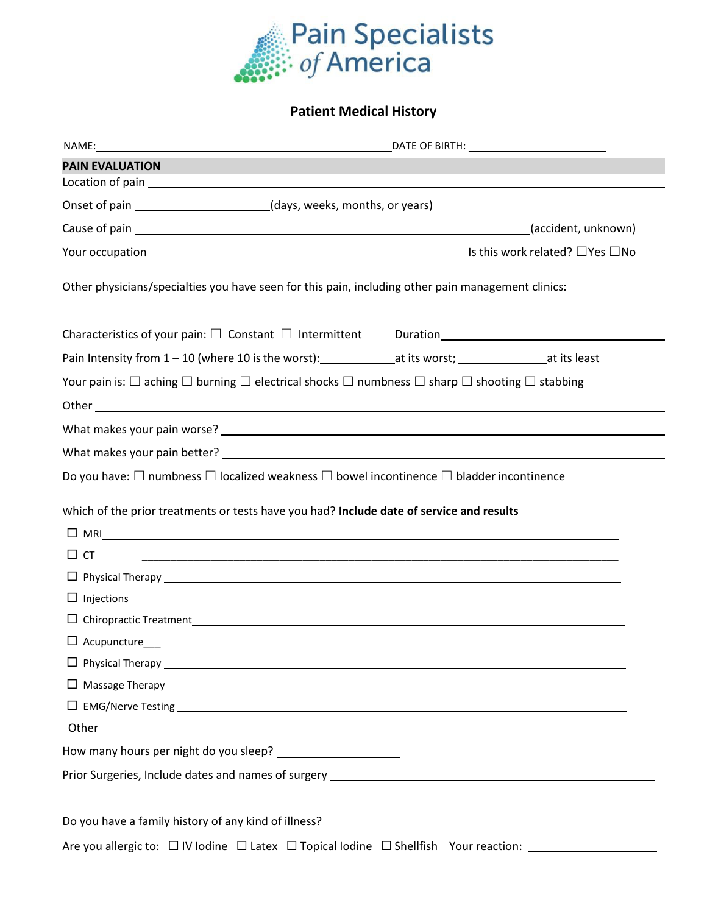

# **Patient Medical History**

| <b>PAIN EVALUATION</b>                                                                                                           |                                                                                                      |
|----------------------------------------------------------------------------------------------------------------------------------|------------------------------------------------------------------------------------------------------|
|                                                                                                                                  |                                                                                                      |
| Onset of pain _________________________(days, weeks, months, or years)                                                           |                                                                                                      |
|                                                                                                                                  |                                                                                                      |
|                                                                                                                                  |                                                                                                      |
| Other physicians/specialties you have seen for this pain, including other pain management clinics:                               |                                                                                                      |
|                                                                                                                                  |                                                                                                      |
| Pain Intensity from 1-10 (where 10 is the worst): ________________at its worst; ___________________at its least                  |                                                                                                      |
| Your pain is: $\Box$ aching $\Box$ burning $\Box$ electrical shocks $\Box$ numbness $\Box$ sharp $\Box$ shooting $\Box$ stabbing |                                                                                                      |
|                                                                                                                                  |                                                                                                      |
|                                                                                                                                  |                                                                                                      |
|                                                                                                                                  |                                                                                                      |
| Do you have: $\square$ numbness $\square$ localized weakness $\square$ bowel incontinence $\square$ bladder incontinence         |                                                                                                      |
| Which of the prior treatments or tests have you had? Include date of service and results<br>$\Box$ MRI $\Box$                    |                                                                                                      |
|                                                                                                                                  |                                                                                                      |
|                                                                                                                                  |                                                                                                      |
|                                                                                                                                  | $\Box$ Injections $\Box$                                                                             |
|                                                                                                                                  |                                                                                                      |
|                                                                                                                                  |                                                                                                      |
|                                                                                                                                  |                                                                                                      |
|                                                                                                                                  |                                                                                                      |
|                                                                                                                                  |                                                                                                      |
| Other                                                                                                                            | ,我们也不会有什么。""我们的人,我们也不会有什么?""我们的人,我们也不会有什么?""我们的人,我们的人,我们的人,我们的人,我们的人,我们的人,我们的人,我                     |
| How many hours per night do you sleep?<br><u> and the parameter</u>                                                              |                                                                                                      |
|                                                                                                                                  |                                                                                                      |
|                                                                                                                                  |                                                                                                      |
|                                                                                                                                  | Are you allergic to: □ IV lodine □ Latex □ Topical Iodine □ Shellfish Your reaction: _______________ |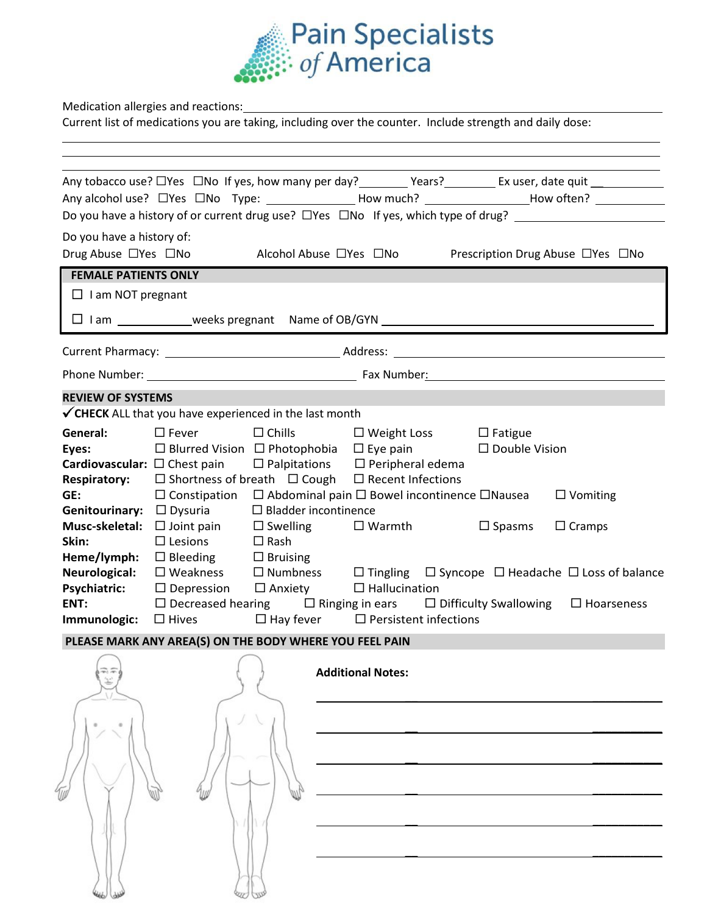

Medication allergies and reactions:

Current list of medications you are taking, including over the counter. Include strength and daily dose:

|                                                                                                                  |                                                                                                                                                                                                                                                                                                                                                                                                                                                                                              |                                                                      |                                                       | Any tobacco use? $\Box$ Yes $\Box$ No If yes, how many per day? _________ Years? _________ Ex user, date quit ____________<br>Any alcohol use? □Yes □No Type: ________________How much? ___________________How often? ___________<br>Do you have a history of or current drug use? □ Yes □ No If yes, which type of drug? ______________                                                                     |
|------------------------------------------------------------------------------------------------------------------|----------------------------------------------------------------------------------------------------------------------------------------------------------------------------------------------------------------------------------------------------------------------------------------------------------------------------------------------------------------------------------------------------------------------------------------------------------------------------------------------|----------------------------------------------------------------------|-------------------------------------------------------|--------------------------------------------------------------------------------------------------------------------------------------------------------------------------------------------------------------------------------------------------------------------------------------------------------------------------------------------------------------------------------------------------------------|
| Do you have a history of:<br>Drug Abuse □Yes □No                                                                 |                                                                                                                                                                                                                                                                                                                                                                                                                                                                                              |                                                                      | Alcohol Abuse □Yes □No                                | Prescription Drug Abuse □Yes □No                                                                                                                                                                                                                                                                                                                                                                             |
| <b>FEMALE PATIENTS ONLY</b>                                                                                      |                                                                                                                                                                                                                                                                                                                                                                                                                                                                                              |                                                                      |                                                       |                                                                                                                                                                                                                                                                                                                                                                                                              |
| $\Box$ I am NOT pregnant                                                                                         |                                                                                                                                                                                                                                                                                                                                                                                                                                                                                              |                                                                      |                                                       |                                                                                                                                                                                                                                                                                                                                                                                                              |
|                                                                                                                  |                                                                                                                                                                                                                                                                                                                                                                                                                                                                                              |                                                                      |                                                       | □ I am _____________weeks pregnant Name of OB/GYN _____________________________                                                                                                                                                                                                                                                                                                                              |
|                                                                                                                  |                                                                                                                                                                                                                                                                                                                                                                                                                                                                                              |                                                                      |                                                       |                                                                                                                                                                                                                                                                                                                                                                                                              |
|                                                                                                                  |                                                                                                                                                                                                                                                                                                                                                                                                                                                                                              |                                                                      |                                                       |                                                                                                                                                                                                                                                                                                                                                                                                              |
| <b>REVIEW OF SYSTEMS</b>                                                                                         | $\checkmark$ CHECK ALL that you have experienced in the last month                                                                                                                                                                                                                                                                                                                                                                                                                           |                                                                      |                                                       |                                                                                                                                                                                                                                                                                                                                                                                                              |
| General:<br>Eyes:<br>GE:<br>Skin:<br>Heme/lymph:<br>Neurological:<br><b>Psychiatric:</b><br>ENT:<br>Immunologic: | $\square$ Fever<br>$\Box$ Blurred Vision $\Box$ Photophobia $\Box$ Eye pain<br><b>Cardiovascular:</b> $\Box$ Chest pain $\Box$ Palpitations $\Box$ Peripheral edema<br><b>Respiratory:</b> $\Box$ Shortness of breath $\Box$ Cough $\Box$ Recent Infections<br>Genitourinary: □ Dysuria<br><b>Musc-skeletal:</b> $\Box$ Joint pain<br>$\square$ Lesions<br>$\Box$ Bleeding $\Box$ Bruising<br>$\Box$ Depression $\Box$ Anxiety<br>$\Box$ Hives $\Box$ Hay fever $\Box$ Persistent infections | $\square$ Chills<br>$\square$ Bladder incontinence<br>$\square$ Rash | $\Box$ Swelling $\Box$ Warmth<br>$\Box$ Hallucination | $\Box$ Weight Loss $\Box$ Fatigue<br>□ Double Vision<br>$\Box$ Constipation $\Box$ Abdominal pain $\Box$ Bowel incontinence $\Box$ Nausea<br>$\Box$ Vomiting<br>$\square$ Spasms<br>$\Box$ Cramps<br>$\Box$ Weakness $\Box$ Numbness $\Box$ Tingling $\Box$ Syncope $\Box$ Headache $\Box$ Loss of balance<br>$\Box$ Decreased hearing $\Box$ Ringing in ears $\Box$ Difficulty Swallowing $\Box$ Hoarseness |
|                                                                                                                  | PLEASE MARK ANY AREA(S) ON THE BODY WHERE YOU FEEL PAIN                                                                                                                                                                                                                                                                                                                                                                                                                                      |                                                                      |                                                       |                                                                                                                                                                                                                                                                                                                                                                                                              |
|                                                                                                                  |                                                                                                                                                                                                                                                                                                                                                                                                                                                                                              |                                                                      | <b>Additional Notes:</b>                              |                                                                                                                                                                                                                                                                                                                                                                                                              |
|                                                                                                                  |                                                                                                                                                                                                                                                                                                                                                                                                                                                                                              |                                                                      |                                                       |                                                                                                                                                                                                                                                                                                                                                                                                              |